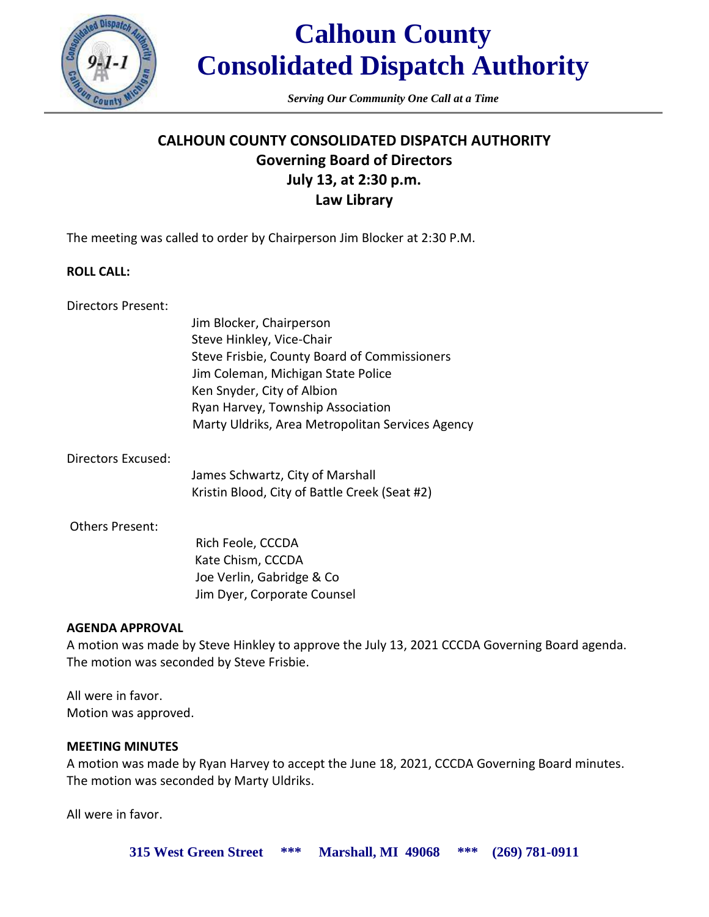

*Serving Our Community One Call at a Time*

# **CALHOUN COUNTY CONSOLIDATED DISPATCH AUTHORITY Governing Board of Directors July 13, at 2:30 p.m. Law Library**

The meeting was called to order by Chairperson Jim Blocker at 2:30 P.M.

### **ROLL CALL:**

Directors Present:

Jim Blocker, Chairperson Steve Hinkley, Vice-Chair Steve Frisbie, County Board of Commissioners Jim Coleman, Michigan State Police Ken Snyder, City of Albion Ryan Harvey, Township Association Marty Uldriks, Area Metropolitan Services Agency

Directors Excused:

James Schwartz, City of Marshall Kristin Blood, City of Battle Creek (Seat #2)

### Others Present:

 Rich Feole, CCCDA Kate Chism, CCCDA Joe Verlin, Gabridge & Co Jim Dyer, Corporate Counsel

# **AGENDA APPROVAL**

A motion was made by Steve Hinkley to approve the July 13, 2021 CCCDA Governing Board agenda. The motion was seconded by Steve Frisbie.

All were in favor. Motion was approved.

### **MEETING MINUTES**

A motion was made by Ryan Harvey to accept the June 18, 2021, CCCDA Governing Board minutes. The motion was seconded by Marty Uldriks.

All were in favor.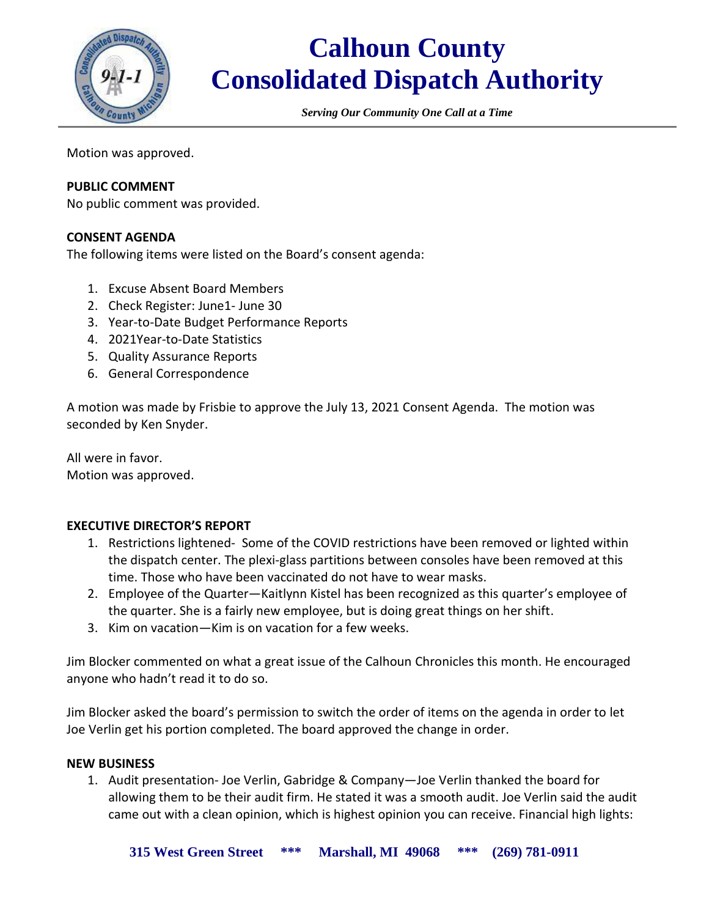

*Serving Our Community One Call at a Time*

Motion was approved.

## **PUBLIC COMMENT**

No public comment was provided.

### **CONSENT AGENDA**

The following items were listed on the Board's consent agenda:

- 1. Excuse Absent Board Members
- 2. Check Register: June1- June 30
- 3. Year-to-Date Budget Performance Reports
- 4. 2021Year-to-Date Statistics
- 5. Quality Assurance Reports
- 6. General Correspondence

A motion was made by Frisbie to approve the July 13, 2021 Consent Agenda. The motion was seconded by Ken Snyder.

All were in favor. Motion was approved.

### **EXECUTIVE DIRECTOR'S REPORT**

- 1. Restrictions lightened- Some of the COVID restrictions have been removed or lighted within the dispatch center. The plexi-glass partitions between consoles have been removed at this time. Those who have been vaccinated do not have to wear masks.
- 2. Employee of the Quarter—Kaitlynn Kistel has been recognized as this quarter's employee of the quarter. She is a fairly new employee, but is doing great things on her shift.
- 3. Kim on vacation—Kim is on vacation for a few weeks.

Jim Blocker commented on what a great issue of the Calhoun Chronicles this month. He encouraged anyone who hadn't read it to do so.

Jim Blocker asked the board's permission to switch the order of items on the agenda in order to let Joe Verlin get his portion completed. The board approved the change in order.

#### **NEW BUSINESS**

1. Audit presentation- Joe Verlin, Gabridge & Company—Joe Verlin thanked the board for allowing them to be their audit firm. He stated it was a smooth audit. Joe Verlin said the audit came out with a clean opinion, which is highest opinion you can receive. Financial high lights: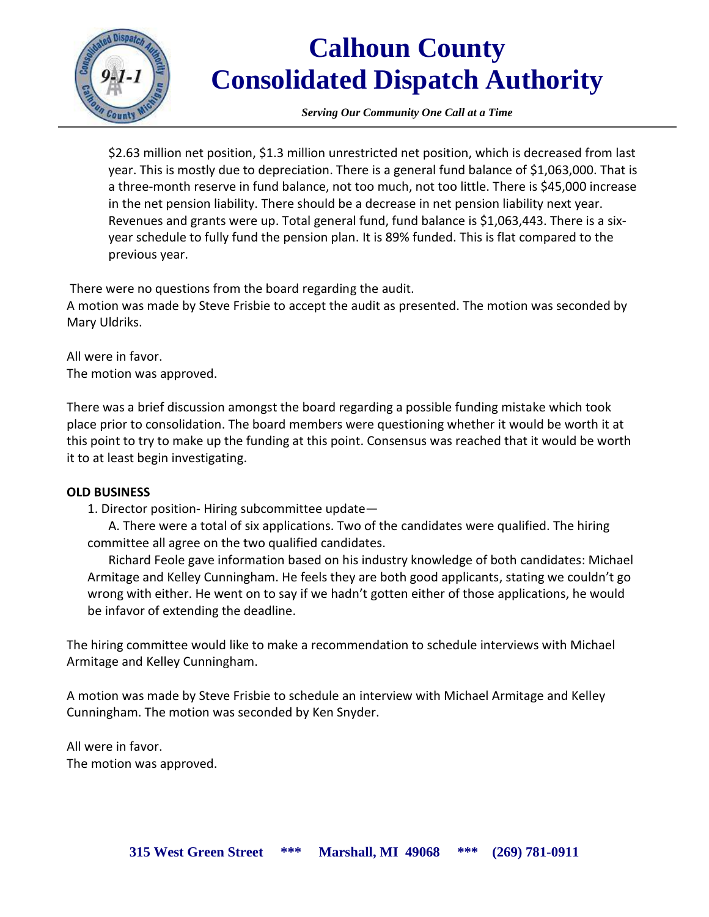

*Serving Our Community One Call at a Time*

\$2.63 million net position, \$1.3 million unrestricted net position, which is decreased from last year. This is mostly due to depreciation. There is a general fund balance of \$1,063,000. That is a three-month reserve in fund balance, not too much, not too little. There is \$45,000 increase in the net pension liability. There should be a decrease in net pension liability next year. Revenues and grants were up. Total general fund, fund balance is \$1,063,443. There is a sixyear schedule to fully fund the pension plan. It is 89% funded. This is flat compared to the previous year.

There were no questions from the board regarding the audit.

A motion was made by Steve Frisbie to accept the audit as presented. The motion was seconded by Mary Uldriks.

All were in favor. The motion was approved.

There was a brief discussion amongst the board regarding a possible funding mistake which took place prior to consolidation. The board members were questioning whether it would be worth it at this point to try to make up the funding at this point. Consensus was reached that it would be worth it to at least begin investigating.

### **OLD BUSINESS**

1. Director position- Hiring subcommittee update—

A. There were a total of six applications. Two of the candidates were qualified. The hiring committee all agree on the two qualified candidates.

Richard Feole gave information based on his industry knowledge of both candidates: Michael Armitage and Kelley Cunningham. He feels they are both good applicants, stating we couldn't go wrong with either. He went on to say if we hadn't gotten either of those applications, he would be infavor of extending the deadline.

The hiring committee would like to make a recommendation to schedule interviews with Michael Armitage and Kelley Cunningham.

A motion was made by Steve Frisbie to schedule an interview with Michael Armitage and Kelley Cunningham. The motion was seconded by Ken Snyder.

All were in favor. The motion was approved.